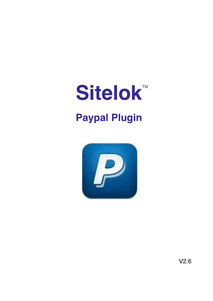# **Sitelok™ Paypal Plugin**

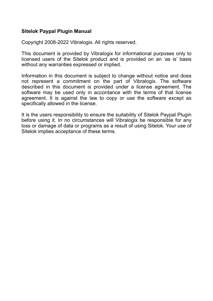#### **Sitelok Paypal Plugin Manual**

Copyright 2008-2022 Vibralogix. All rights reserved.

This document is provided by Vibralogix for informational purposes only to licensed users of the Sitelok product and is provided on an 'as is' basis without any warranties expressed or implied.

Information in this document is subject to change without notice and does not represent a commitment on the part of Vibralogix. The software described in this document is provided under a license agreement. The software may be used only in accordance with the terms of that license agreement. It is against the law to copy or use the software except as specifically allowed in the license.

It is the users responsibility to ensure the suitability of Sitelok Paypal Plugin before using it. In no circumstances will Vibralogix be responsible for any loss or damage of data or programs as a result of using Sitelok. Your use of Sitelok implies acceptance of these terms.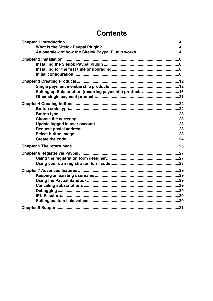# **Contents**

| Setting up Subscription (recurring payments) products16 |  |
|---------------------------------------------------------|--|
|                                                         |  |
|                                                         |  |
|                                                         |  |
|                                                         |  |
|                                                         |  |
|                                                         |  |
|                                                         |  |
|                                                         |  |
|                                                         |  |
|                                                         |  |
|                                                         |  |
|                                                         |  |
|                                                         |  |
|                                                         |  |
|                                                         |  |
|                                                         |  |
|                                                         |  |
|                                                         |  |
|                                                         |  |
|                                                         |  |
|                                                         |  |
|                                                         |  |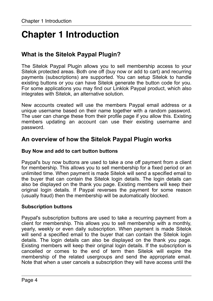# <span id="page-3-0"></span>**Chapter 1 Introduction**

# <span id="page-3-1"></span>**What is the Sitelok Paypal Plugin?**

The Sitelok Paypal Plugin allows you to sell membership access to your Sitelok protected areas. Both one off (buy now or add to cart) and recurring payments (subscriptions) are supported. You can setup Sitelok to handle existing buttons or you can have Sitelok generate the button code for you. For some applications you may find our Linklok Paypal product, which also integrates with Sitelok, an alternative solution.

New accounts created will use the members Paypal email address or a unique username based on their name together with a random password. The user can change these from their profile page if you allow this. Existing members updating an account can use their existing username and password.

# <span id="page-3-2"></span>**An overview of how the Sitelok Paypal Plugin works**

#### **Buy Now and add to cart button buttons**

Paypal's buy now buttons are used to take a one off payment from a client for membership. This allows you to sell membership for a fixed period or an unlimited time. When payment is made Sitelok will send a specified email to the buyer that can contain the Sitelok login details. The login details can also be displayed on the thank you page. Existing members will keep their original login details. If Paypal reverses the payment for some reason (usually fraud) then the membership will be automatically blocked.

#### **Subscription buttons**

Paypal's subscription buttons are used to take a recurring payment from a client for membership. This allows you to sell membership with a monthly, yearly, weekly or even daily subscription. When payment is made Sitelok will send a specified email to the buyer that can contain the Sitelok login details. The login details can also be displayed on the thank you page. Existing members will keep their original login details. If the subscription is cancelled or comes to the end of term then Sitelok will expire the membership of the related usergroups and send the appropriate email. Note that when a user cancels a subscription they will have access until the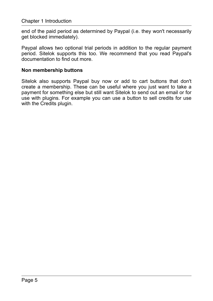end of the paid period as determined by Paypal (i.e. they won't necessarily get blocked immediately).

Paypal allows two optional trial periods in addition to the regular payment period. Sitelok supports this too. We recommend that you read Paypal's documentation to find out more.

#### **Non membership buttons**

Sitelok also supports Paypal buy now or add to cart buttons that don't create a membership. These can be useful where you just want to take a payment for something else but still want Sitelok to send out an email or for use with plugins. For example you can use a button to sell credits for use with the Credits plugin.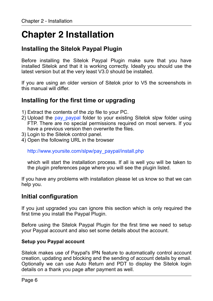# <span id="page-5-0"></span>**Chapter 2 Installation**

# <span id="page-5-1"></span>**Installing the Sitelok Paypal Plugin**

Before installing the Sitelok Paypal Plugin make sure that you have installed Sitelok and that it is working correctly. Ideally you should use the latest version but at the very least V3.0 should be installed.

If you are using an older version of Sitelok prior to V5 the screenshots in this manual will differ.

# <span id="page-5-2"></span>**Installing for the first time or upgrading**

- 1) Extract the contents of the zip file to your PC.
- 2) Upload the pay paypal folder to your existing Sitelok slpw folder using FTP. There are no special permissions required on most servers. If you have a previous version then overwrite the files.
- 3) Login to the Sitelok control panel.
- 4) Open the following URL in the browser

http://www.yoursite.com/slpw/pay\_paypal/install.php

which will start the installation process. If all is well you will be taken to the plugin preferences page where you will see the plugin listed.

If you have any problems with installation please let us know so that we can help you.

# <span id="page-5-3"></span>**Initial configuration**

If you just upgraded you can ignore this section which is only required the first time you install the Paypal Plugin.

Before using the Sitelok Paypal Plugin for the first time we need to setup your Paypal account and also set some details about the account.

#### **Setup you Paypal account**

Sitelok makes use of Paypal's IPN feature to automatically control account creation, updating and blocking and the sending of account details by email. Optionally we can use Auto Return and PDT to display the Sitelok login details on a thank you page after payment as well.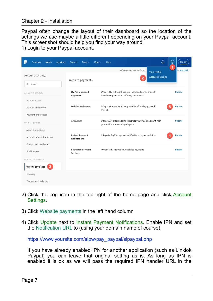Chapter 2 - Installation

Paypal often change the layout of their dashboard so the location of the settings we use maybe a little different depending on your Paypal account. This screenshot should help you find your way around.

1) Login to your Paypal account.

| Summary<br>Money<br><b>Activities</b>           | Reports<br>Tools $\vee$<br>More $\sim$         | Help                                                                                                | ۵                       | භූ<br>Log Out      |
|-------------------------------------------------|------------------------------------------------|-----------------------------------------------------------------------------------------------------|-------------------------|--------------------|
|                                                 |                                                | We've updated your Profile and !                                                                    | <b>Your Profile</b>     | 1<br>hat you think |
| Account settings                                | Website payments                               | 2                                                                                                   | <b>Account Settings</b> |                    |
| Search<br>Q                                     |                                                |                                                                                                     |                         |                    |
| ACCOUNT & SECURITY                              | My Pre-approved<br>Payments                    | Manage the subscriptions, pre-approved payments and<br>instalment plans that I offer my customers.  |                         | <b>Update</b>      |
| Account access<br>Account preferences           | <b>Website Preferences</b>                     | Bring customers back to my website after they pay with<br>PayPal.                                   |                         | <b>Update</b>      |
| Payment preferences<br><b>BUSINESS PROFILE</b>  | <b>API Access</b>                              | Manage API credentials to integrate your PayPal account with<br>your online store or shopping cart. |                         | <b>Update</b>      |
| About the business<br>Account owner information | <b>Instant Payment</b><br><b>Notifications</b> | Integrate PayPal payment notifications to your website.                                             |                         | <b>Update</b>      |
| Money, banks and cards<br>Notifications         | <b>Encrypted Payment</b><br>Settings           | Dynamically encrypt your website payments                                                           |                         | <b>Update</b>      |
| PRODUCTS & SERVICES<br>3<br>Website payments    |                                                |                                                                                                     |                         |                    |
| Invoicing                                       |                                                |                                                                                                     |                         |                    |
| Postage and packaging                           |                                                |                                                                                                     |                         |                    |

- 2) Click the cog icon in the top right of the home page and click Account Settings.
- 3) Click Website payments in the left hand column
- 4) Click Update next to Instant Payment Notifications. Enable IPN and set the Notification URL to (using your domain name of course)

https://www.yoursite.com/slpw/pay\_paypal/slpaypal.php

If you have already enabled IPN for another application (such as Linklok Paypal) you can leave that original setting as is. As long as IPN is enabled it is ok as we will pass the required IPN handler URL in the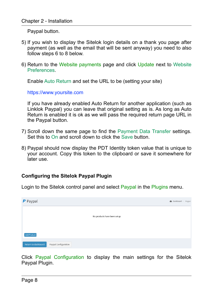Paypal button.

- 5) If you wish to display the Sitelok login details on a thank you page after payment (as well as the email that will be sent anyway) you need to also follow steps 6 to 8 below.
- 6) Return to the Website payments page and click Update next to Website Preferences.

Enable Auto Return and set the URL to be (setting your site)

https://www.yoursite.com

If you have already enabled Auto Return for another application (such as Linklok Paypal) you can leave that original setting as is. As long as Auto Return is enabled it is ok as we will pass the required return page URL in the Paypal button.

- 7) Scroll down the same page to find the Payment Data Transfer settings. Set this to On and scroll down to click the Save button.
- 8) Paypal should now display the PDT Identity token value that is unique to your account. Copy this token to the clipboard or save it somewhere for later use.

#### **Configuring the Sitelok Paypal Plugin**

Login to the Sitelok control panel and select Paypal in the Plugins menu.

| P Paypal                                    | <b>B</b> Dashboard > Paypal |
|---------------------------------------------|-----------------------------|
|                                             |                             |
|                                             | No products have been setup |
|                                             |                             |
| Add Product                                 |                             |
| Return to dashboard<br>Paypal Configuration |                             |

Click Paypal Configuration to display the main settings for the Sitelok Paypal Plugin.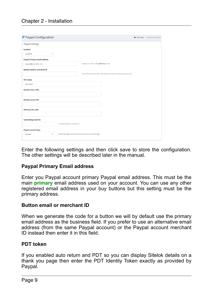#### Chapter 2 - Installation

| P Paypal Configuration              |                                                                     | <b>2</b> Dashboard > Paypal Configuration |
|-------------------------------------|---------------------------------------------------------------------|-------------------------------------------|
| Paypal settings                     |                                                                     |                                           |
| <b>Enabled</b>                      |                                                                     |                                           |
| Enabled<br>٠                        |                                                                     |                                           |
| <b>Paypal Primary email address</b> |                                                                     |                                           |
| paypal@yoursite.com                 | make sure this is the primary email                                 |                                           |
| <b>Button email or merchant ID</b>  |                                                                     |                                           |
|                                     | if set this will be used in the button instead of the primary email |                                           |
| <b>PDT</b> token                    |                                                                     |                                           |
| pdt token                           |                                                                     |                                           |
| <b>Default return URL</b>           |                                                                     |                                           |
|                                     |                                                                     |                                           |
| <b>Default cancel URL</b>           |                                                                     |                                           |
|                                     |                                                                     |                                           |
| <b>IPN Pass Thru URL</b>            |                                                                     |                                           |
|                                     |                                                                     |                                           |
| Send debug email to                 |                                                                     |                                           |
| leave blank for normal use          |                                                                     |                                           |
| Paypal account type                 |                                                                     |                                           |
| Normal<br>۰                         | select sandbox only if you know what you are doing!                 |                                           |

Enter the following settings and then click save to store the configuration. The other settings will be described later in the manual.

#### **Paypal Primary Email address**

Enter you Paypal account primary Paypal email address. This must be the main **primary** email address used on your account. You can use any other registered email address in your buy buttons but this setting must be the primary address.

#### **Button email or merchant ID**

When we generate the code for a button we will by default use the primary email address as the business field. If you prefer to use an alternative email address (from the same Paypal account) or the Paypal account merchant ID instead then enter it in this field.

#### **PDT token**

If you enabled auto return and PDT so you can display Sitelok details on a thank you page then enter the PDT Identity Token exactly as provided by Paypal.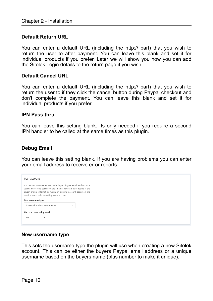#### **Default Return URL**

You can enter a default URL (including the http:// part) that you wish to return the user to after payment. You can leave this blank and set it for individual products if you prefer. Later we will show you how you can add the Sitelok Login details to the return page if you wish.

#### **Default Cancel URL**

You can enter a default URL (including the http:// part) that you wish to return the user to if they click the cancel button during Paypal checkout and don't complete the payment. You can leave this blank and set it for individual products if you prefer.

#### **IPN Pass thru**

You can leave this setting blank. Its only needed if you require a second IPN handler to be called at the same times as this plugin.

#### **Debug Email**

You can leave this setting blank. If you are having problems you can enter your email address to receive error reports.

| You can decide whether to use the buyers Paypal email address as a<br>username or one based on their name. You can also decide if the<br>plugin should attempt to match an existing account based on the<br>email address before creating a new account. |   |
|----------------------------------------------------------------------------------------------------------------------------------------------------------------------------------------------------------------------------------------------------------|---|
| New username type                                                                                                                                                                                                                                        |   |
| Use email address as username                                                                                                                                                                                                                            | ۰ |

#### **New username type**

This sets the username type the plugin will use when creating a new Sitelok account. This can be either the buyers Paypal email address or a unique username based on the buyers name (plus number to make it unique).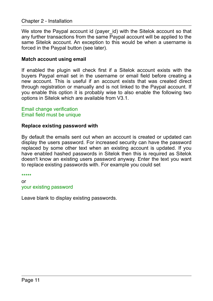#### Chapter 2 - Installation

We store the Paypal account id (payer id) with the Sitelok account so that any further transactions from the same Paypal account will be applied to the same Sitelok account. An exception to this would be when a username is forced in the Paypal button (see later).

#### **Match account using email**

If enabled the plugin will check first if a Sitelok account exists with the buyers Paypal email set in the username or email field before creating a new account. This is useful if an account exists that was created direct through registration or manually and is not linked to the Paypal account. If you enable this option it is probably wise to also enable the following two options in Sitelok which are available from V3.1.

Email change verification Email field must be unique

#### **Replace existing password with**

By default the emails sent out when an account is created or updated can display the users password. For increased security can have the password replaced by some other text when an existing account is updated. If you have enabled hashed passwords in Sitelok then this is required as Sitelok doesn't know an existing users password anyway. Enter the text you want to replace existing passwords with. For example you could set

\*\*\*\*\* or your existing password

Leave blank to display existing passwords.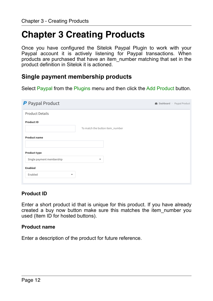# <span id="page-11-0"></span>**Chapter 3 Creating Products**

Once you have configured the Sitelok Paypal Plugin to work with your Paypal account it is actively listening for Paypal transactions. When products are purchased that have an item\_number matching that set in the product definition in Sitelok it is actioned.

# <span id="page-11-1"></span>**Single payment membership products**

Select Paypal from the Plugins menu and then click the Add Product button.

| P Paypal Product                    |                                 | <b>B</b> Dashboard ><br>Paypal Product |
|-------------------------------------|---------------------------------|----------------------------------------|
| <b>Product Details</b>              |                                 |                                        |
| Product ID                          | To match the button item_number |                                        |
| <b>Product name</b>                 |                                 |                                        |
| <b>Product type</b>                 |                                 |                                        |
| Single payment membership           | ۰                               |                                        |
| Enabled                             |                                 |                                        |
| Enabled<br>$\overline{\phantom{a}}$ |                                 |                                        |

#### **Product ID**

Enter a short product id that is unique for this product. If you have already created a buy now button make sure this matches the item\_number you used (Item ID for hosted buttons).

#### **Product name**

Enter a description of the product for future reference.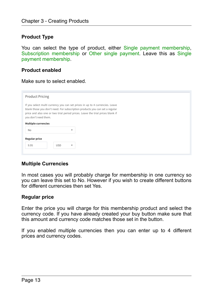#### **Product Type**

You can select the type of product, either Single payment membership, Subscription membership or Other single payment. Leave this as Single payment membership.

#### **Product enabled**

Make sure to select enabled.

| <b>Product Pricing</b>                                                                                                                                                                                                                                                |            |                          |  |
|-----------------------------------------------------------------------------------------------------------------------------------------------------------------------------------------------------------------------------------------------------------------------|------------|--------------------------|--|
| If you select multi currency you can set prices in up to 4 currencies. Leave<br>blank those you don't need. For subscription products you can set a regular<br>price and also one or two trial period prices. Leave the trial prices blank if<br>you don't need them. |            |                          |  |
| <b>Multiple currencies</b>                                                                                                                                                                                                                                            |            |                          |  |
| <b>No</b>                                                                                                                                                                                                                                                             |            | $\checkmark$             |  |
| <b>Regular price</b>                                                                                                                                                                                                                                                  |            |                          |  |
| 9.95                                                                                                                                                                                                                                                                  | <b>USD</b> | $\overline{\phantom{a}}$ |  |

#### **Multiple Currencies**

In most cases you will probably charge for membership in one currency so you can leave this set to No. However if you wish to create different buttons for different currencies then set Yes.

#### **Regular price**

Enter the price you will charge for this membership product and select the currency code. If you have already created your buy button make sure that this amount and currency code matches those set in the button.

If you enabled multiple currencies then you can enter up to 4 different prices and currency codes.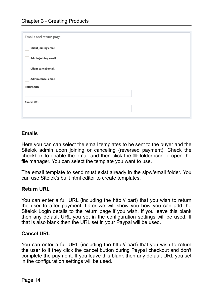| Emails and return page      |  |
|-----------------------------|--|
| <b>Client joining email</b> |  |
| Admin joining email         |  |
| Client cancel email         |  |
| Admin cancel email          |  |
| <b>Return URL</b>           |  |
|                             |  |
| <b>Cancel URL</b>           |  |
|                             |  |
|                             |  |

#### **Emails**

Here you can can select the email templates to be sent to the buyer and the Sitelok admin upon joining or canceling (reversed payment). Check the checkbox to enable the email and then click the  $\equiv$  folder icon to open the file manager. You can select the template you want to use.

The email template to send must exist already in the slpw/email folder. You can use Sitelok's built html editor to create templates.

#### **Return URL**

You can enter a full URL (including the http:// part) that you wish to return the user to after payment. Later we will show you how you can add the Sitelok Login details to the return page if you wish. If you leave this blank then any default URL you set in the configuration settings will be used. If that is also blank then the URL set in your Paypal will be used.

#### **Cancel URL**

You can enter a full URL (including the http:// part) that you wish to return the user to if they click the cancel button during Paypal checkout and don't complete the payment. If you leave this blank then any default URL you set in the configuration settings will be used.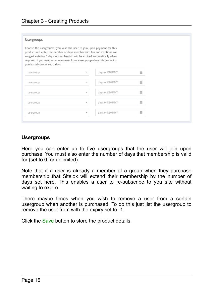| Usergroups                                                                                                                                                                                                                                                                                                                                     |                          |                |   |  |  |
|------------------------------------------------------------------------------------------------------------------------------------------------------------------------------------------------------------------------------------------------------------------------------------------------------------------------------------------------|--------------------------|----------------|---|--|--|
| Choose the usergroup(s) you wish the user to join upon payment for this<br>product and enter the number of days membership. For subscriptions we<br>suggest entering 0 days as membership will be expired automatically when<br>required. If you want to remove a user from a usergroup when this product is<br>purchased you can set -1 days. |                          |                |   |  |  |
| usergroup                                                                                                                                                                                                                                                                                                                                      | $\overline{\mathbf v}$   | days or DDMMYY | 蘦 |  |  |
| usergroup                                                                                                                                                                                                                                                                                                                                      | $\overline{\mathbf{v}}$  | days or DDMMYY | 論 |  |  |
| usergroup                                                                                                                                                                                                                                                                                                                                      | $\mathbf{v}$             | days or DDMMYY | 論 |  |  |
| usergroup                                                                                                                                                                                                                                                                                                                                      | $\overline{\phantom{a}}$ | days or DDMMYY | 萹 |  |  |
| usergroup                                                                                                                                                                                                                                                                                                                                      | $\overline{\phantom{a}}$ | days or DDMMYY | 萹 |  |  |
|                                                                                                                                                                                                                                                                                                                                                |                          |                |   |  |  |

#### **Usergroups**

Here you can enter up to five usergroups that the user will join upon purchase. You must also enter the number of days that membership is valid for (set to 0 for unlimited).

Note that if a user is already a member of a group when they purchase membership that Sitelok will extend their membership by the number of days set here. This enables a user to re-subscribe to you site without waiting to expire.

There maybe times when you wish to remove a user from a certain usergroup when another is purchased. To do this just list the usergroup to remove the user from with the expiry set to -1.

Click the Save button to store the product details.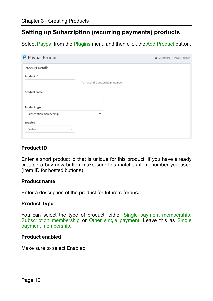# <span id="page-15-0"></span>**Setting up Subscription (recurring payments) products**

Select Paypal from the Plugins menu and then click the Add Product button.

| P Paypal Product        |                                 | <b>2</b> Dashboard > Paypal Product |
|-------------------------|---------------------------------|-------------------------------------|
| <b>Product Details</b>  |                                 |                                     |
| Product ID              | To match the button item_number |                                     |
| <b>Product name</b>     |                                 |                                     |
| <b>Product type</b>     |                                 |                                     |
| Subscription membership | $\overline{\phantom{a}}$        |                                     |
| Enabled                 |                                 |                                     |
| Enabled<br>$\checkmark$ |                                 |                                     |

#### **Product ID**

Enter a short product id that is unique for this product. If you have already created a buy now button make sure this matches item\_number you used (Item ID for hosted buttons).

#### **Product name**

Enter a description of the product for future reference.

#### **Product Type**

You can select the type of product, either Single payment membership, Subscription membership or Other single payment. Leave this as Single payment membership.

#### **Product enabled**

Make sure to select Enabled.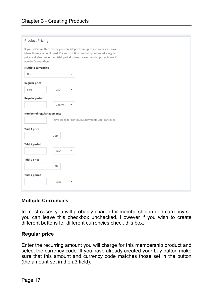#### **Product Pricing**

If you select multi currency you can set prices in up to 4 currencies. Leave blank those you don't need. For subscription products you can set a regular price and also one or two trial period prices. Leave the trial prices blank if you don't need them.

#### **Multiple currencies**

| N <sub>o</sub>             |            | ٠                                                   |
|----------------------------|------------|-----------------------------------------------------|
| <b>Regular price</b>       |            |                                                     |
| 9.95                       | <b>USD</b> | ٠                                                   |
| Regular period             |            |                                                     |
| $\mathbf{1}$               | Months     | ٠                                                   |
| Number of regular payments |            |                                                     |
|                            |            | leave blank for continuous payments until cancelled |
| <b>Trial 1 price</b>       |            |                                                     |
|                            | <b>USD</b> |                                                     |
| <b>Trial 1 period</b>      |            |                                                     |
|                            | Days       | ۰                                                   |
| <b>Trial 2 price</b>       |            |                                                     |
|                            | <b>USD</b> |                                                     |
| <b>Trial 2 period</b>      |            |                                                     |
|                            | Days       | ۰                                                   |
|                            |            |                                                     |

#### **Multiple Currencies**

In most cases you will probably charge for membership in one currency so you can leave this checkbox unchecked. However if you wish to create different buttons for different currencies check this box.

#### **Regular price**

Enter the recurring amount you will charge for this membership product and select the currency code. If you have already created your buy button make sure that this amount and currency code matches those set in the button (the amount set in the a3 field).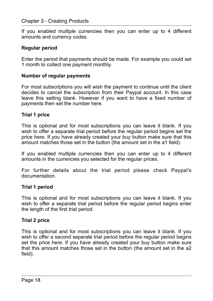#### Chapter 3 - Creating Products

If you enabled multiple currencies then you can enter up to 4 different amounts and currency codes.

#### **Regular period**

Enter the period that payments should be made. For example you could set 1 month to collect one payment monthly.

#### **Number of regular payments**

For most subscriptions you will wish the payment to continue until the client decides to cancel the subscription from their Paypal account. In this case leave this setting blank. However if you want to have a fixed number of payments then set the number here.

#### **Trial 1 price**

This is optional and for most subscriptions you can leave it blank. If you wish to offer a separate trial period before the regular period begins set the price here. If you have already created your buy button make sure that this amount matches those set in the button (the amount set in the a1 field).

If you enabled multiple currencies then you can enter up to 4 different amounts in the currencies you selected for the regular prices.

For further details about the trial period please check Paypal's documentation.

#### **Trial 1 period**

This is optional and for most subscriptions you can leave it blank. If you wish to offer a separate trial period before the regular period begins enter the length of the first trial period.

#### **Trial 2 price**

This is optional and for most subscriptions you can leave it blank. If you wish to offer a second separate trial period before the regular period begins set the price here. If you have already created your buy button make sure that this amount matches those set in the button (the amount set in the a2 field).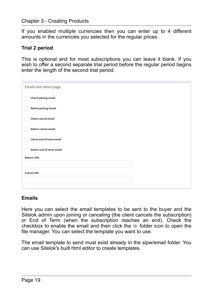If you enabled multiple currencies then you can enter up to 4 different amounts in the currencies you selected for the regular prices.

#### **Trial 2 period**

This is optional and for most subscriptions you can leave it blank. If you wish to offer a second separate trial period before the regular period begins enter the length of the second trial period.

| Emails and return page      |  |
|-----------------------------|--|
| <b>Client joining email</b> |  |
| Admin joining email         |  |
| Client cancel email         |  |
| Admin cancel email          |  |
| Client end of term email    |  |
| Admin end of term email     |  |
| <b>Return URL</b>           |  |
|                             |  |
| <b>Cancel URL</b>           |  |
|                             |  |
|                             |  |

#### **Emails**

Here you can select the email templates to be sent to the buyer and the Sitelok admin upon joining or canceling (the client cancels the subscription) or End of Term (when the subscription reaches an end). Check the checkbox to enable the email and then click the  $\equiv$  folder icon to open the file manager. You can select the template you want to use.

The email template to send must exist already in the slpw/email folder. You can use Sitelok's built html editor to create templates.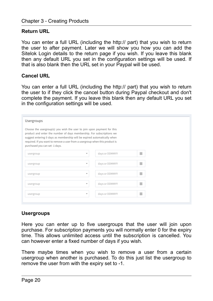#### **Return URL**

You can enter a full URL (including the http:// part) that you wish to return the user to after payment. Later we will show you how you can add the Sitelok Login details to the return page if you wish. If you leave this blank then any default URL you set in the configuration settings will be used. If that is also blank then the URL set in your Paypal will be used.

#### **Cancel URL**

You can enter a full URL (including the http:// part) that you wish to return the user to if they click the cancel button during Paypal checkout and don't complete the payment. If you leave this blank then any default URL you set in the configuration settings will be used.

| Usergroups                                                                                                                                                                                                                                                                                                                                     |                          |                |   |  |  |  |
|------------------------------------------------------------------------------------------------------------------------------------------------------------------------------------------------------------------------------------------------------------------------------------------------------------------------------------------------|--------------------------|----------------|---|--|--|--|
| Choose the usergroup(s) you wish the user to join upon payment for this<br>product and enter the number of days membership. For subscriptions we<br>suggest entering 0 days as membership will be expired automatically when<br>required. If you want to remove a user from a usergroup when this product is<br>purchased you can set -1 days. |                          |                |   |  |  |  |
| usergroup                                                                                                                                                                                                                                                                                                                                      | $\overline{\mathbf{v}}$  | days or DDMMYY | 蘦 |  |  |  |
| usergroup                                                                                                                                                                                                                                                                                                                                      | $\overline{\mathbf{v}}$  | days or DDMMYY | 論 |  |  |  |
| usergroup                                                                                                                                                                                                                                                                                                                                      | $\overline{\mathbf{v}}$  | days or DDMMYY | 論 |  |  |  |
| usergroup                                                                                                                                                                                                                                                                                                                                      | $\overline{\mathbf{v}}$  | days or DDMMYY | 籯 |  |  |  |
| usergroup                                                                                                                                                                                                                                                                                                                                      | $\overline{\phantom{a}}$ | days or DDMMYY | 萹 |  |  |  |
|                                                                                                                                                                                                                                                                                                                                                |                          |                |   |  |  |  |

#### **Usergroups**

Here you can enter up to five usergroups that the user will join upon purchase. For subscription payments you will normally enter 0 for the expiry time. This allows unlimited access until the subscription is cancelled. You can however enter a fixed number of days if you wish.

There maybe times when you wish to remove a user from a certain usergroup when another is purchased. To do this just list the usergroup to remove the user from with the expiry set to -1.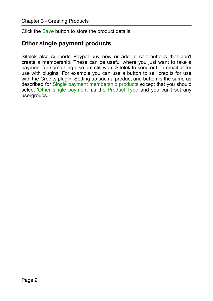Click the Save button to store the product details.

### <span id="page-20-0"></span>**Other single payment products**

Sitelok also supports Paypal buy now or add to cart buttons that don't create a membership. These can be useful where you just want to take a payment for something else but still want Sitelok to send out an email or for use with plugins. For example you can use a button to sell credits for use with the Credits plugin. Setting up such a product and button is the same as described for Single payment membership products except that you should select 'Other single payment' as the Product Type and you can't set any usergroups.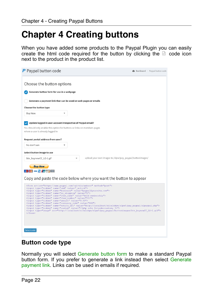# <span id="page-21-0"></span>**Chapter 4 Creating buttons**

When you have added some products to the Paypal Plugin you can easily create the html code required for the button by clicking the  $\Box$  code icon next to the product in the product list.

| Choose the button options<br>Generate button form for use in a webpage<br>Generate a payment link that can be used on web pages or emails<br><b>Choose the button type</b><br><b>Buy Now</b><br>Update logged in user account irrespective of Paypal email?<br>You should only enable this option for buttons or links on members pages<br>where a user is already logged in<br>Request postal address from user?<br>No don't ask<br>Select button image to use<br>upload your own images to /slpw/pay_paypal/buttonimages/<br>btn_buynowCC_LG-1.gif<br><b>Buy Now</b><br><b>NATIONAL VISA THE MANY PARTY BANK</b><br>Copy and paste the code below where you want the button to appear<br><form action="https://www.paypal.com/cgi-bin/webscr" method="post"><br/><input name="cmd" type="hidden" value=" xclick"/><br/><input name="business" type="hidden" value="paypal@yoursite.com"/><br/><input name="no shipping" type="hidden" value="0"/><br/><input name="item name" type="hidden" value="Gold membership"/><br/><input name="item_number" type="hidden" value="ID1"/><br/><input name="amount" type="hidden" value="9.95"/><br/><input name="currency_code" type="hidden" value="USD"/><br/><input name="notify url" type="hidden" value="http://localhost/sitelokpw/slpw5/pay paypal/slpaypal.php"/><br/><input name="custom" type="hidden" value="&lt;?php echo \$slordercustom; ?&gt;"/><br/><input src="http://localhost/sitelokpw/slpw5/pay_paypal/buttonimages/btn_buynowCC_LG-1.gif" type="image"/><br/><math>\langle / \text{form} \rangle</math></form> | P Paypal button code |  | <b>2</b> Dashboard > Paypal button code |  |  |  |
|------------------------------------------------------------------------------------------------------------------------------------------------------------------------------------------------------------------------------------------------------------------------------------------------------------------------------------------------------------------------------------------------------------------------------------------------------------------------------------------------------------------------------------------------------------------------------------------------------------------------------------------------------------------------------------------------------------------------------------------------------------------------------------------------------------------------------------------------------------------------------------------------------------------------------------------------------------------------------------------------------------------------------------------------------------------------------------------------------------------------------------------------------------------------------------------------------------------------------------------------------------------------------------------------------------------------------------------------------------------------------------------------------------------------------------------------------------------------------------------------------------------------------------------------------------------------------|----------------------|--|-----------------------------------------|--|--|--|
|                                                                                                                                                                                                                                                                                                                                                                                                                                                                                                                                                                                                                                                                                                                                                                                                                                                                                                                                                                                                                                                                                                                                                                                                                                                                                                                                                                                                                                                                                                                                                                              |                      |  |                                         |  |  |  |
|                                                                                                                                                                                                                                                                                                                                                                                                                                                                                                                                                                                                                                                                                                                                                                                                                                                                                                                                                                                                                                                                                                                                                                                                                                                                                                                                                                                                                                                                                                                                                                              |                      |  |                                         |  |  |  |
|                                                                                                                                                                                                                                                                                                                                                                                                                                                                                                                                                                                                                                                                                                                                                                                                                                                                                                                                                                                                                                                                                                                                                                                                                                                                                                                                                                                                                                                                                                                                                                              |                      |  |                                         |  |  |  |
|                                                                                                                                                                                                                                                                                                                                                                                                                                                                                                                                                                                                                                                                                                                                                                                                                                                                                                                                                                                                                                                                                                                                                                                                                                                                                                                                                                                                                                                                                                                                                                              |                      |  |                                         |  |  |  |
|                                                                                                                                                                                                                                                                                                                                                                                                                                                                                                                                                                                                                                                                                                                                                                                                                                                                                                                                                                                                                                                                                                                                                                                                                                                                                                                                                                                                                                                                                                                                                                              |                      |  |                                         |  |  |  |
|                                                                                                                                                                                                                                                                                                                                                                                                                                                                                                                                                                                                                                                                                                                                                                                                                                                                                                                                                                                                                                                                                                                                                                                                                                                                                                                                                                                                                                                                                                                                                                              |                      |  |                                         |  |  |  |
|                                                                                                                                                                                                                                                                                                                                                                                                                                                                                                                                                                                                                                                                                                                                                                                                                                                                                                                                                                                                                                                                                                                                                                                                                                                                                                                                                                                                                                                                                                                                                                              |                      |  |                                         |  |  |  |
|                                                                                                                                                                                                                                                                                                                                                                                                                                                                                                                                                                                                                                                                                                                                                                                                                                                                                                                                                                                                                                                                                                                                                                                                                                                                                                                                                                                                                                                                                                                                                                              |                      |  |                                         |  |  |  |
|                                                                                                                                                                                                                                                                                                                                                                                                                                                                                                                                                                                                                                                                                                                                                                                                                                                                                                                                                                                                                                                                                                                                                                                                                                                                                                                                                                                                                                                                                                                                                                              |                      |  |                                         |  |  |  |
|                                                                                                                                                                                                                                                                                                                                                                                                                                                                                                                                                                                                                                                                                                                                                                                                                                                                                                                                                                                                                                                                                                                                                                                                                                                                                                                                                                                                                                                                                                                                                                              |                      |  |                                         |  |  |  |
|                                                                                                                                                                                                                                                                                                                                                                                                                                                                                                                                                                                                                                                                                                                                                                                                                                                                                                                                                                                                                                                                                                                                                                                                                                                                                                                                                                                                                                                                                                                                                                              |                      |  |                                         |  |  |  |
|                                                                                                                                                                                                                                                                                                                                                                                                                                                                                                                                                                                                                                                                                                                                                                                                                                                                                                                                                                                                                                                                                                                                                                                                                                                                                                                                                                                                                                                                                                                                                                              |                      |  |                                         |  |  |  |
|                                                                                                                                                                                                                                                                                                                                                                                                                                                                                                                                                                                                                                                                                                                                                                                                                                                                                                                                                                                                                                                                                                                                                                                                                                                                                                                                                                                                                                                                                                                                                                              |                      |  |                                         |  |  |  |
|                                                                                                                                                                                                                                                                                                                                                                                                                                                                                                                                                                                                                                                                                                                                                                                                                                                                                                                                                                                                                                                                                                                                                                                                                                                                                                                                                                                                                                                                                                                                                                              |                      |  |                                         |  |  |  |
|                                                                                                                                                                                                                                                                                                                                                                                                                                                                                                                                                                                                                                                                                                                                                                                                                                                                                                                                                                                                                                                                                                                                                                                                                                                                                                                                                                                                                                                                                                                                                                              |                      |  |                                         |  |  |  |
| Select code                                                                                                                                                                                                                                                                                                                                                                                                                                                                                                                                                                                                                                                                                                                                                                                                                                                                                                                                                                                                                                                                                                                                                                                                                                                                                                                                                                                                                                                                                                                                                                  |                      |  |                                         |  |  |  |

## <span id="page-21-1"></span>**Button code type**

Normally you will select Generate button form to make a standard Paypal button form. If you prefer to generate a link instead then select Generate payment link. Links can be used in emails if required.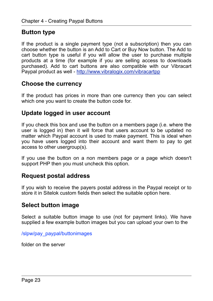# <span id="page-22-0"></span>**Button type**

If the product is a single payment type (not a subscription) then you can choose whether the button is an Add to Cart or Buy Now button. The Add to cart button type is useful if you will allow the user to purchase multiple products at a time (for example if you are selling access to downloads purchased). Add to cart buttons are also compatible with our Vibracart Paypal product as well -<http://www.vibralogix.com/vibracartpp>

### <span id="page-22-1"></span>**Choose the currency**

If the product has prices in more than one currency then you can select which one you want to create the button code for.

### <span id="page-22-2"></span>**Update logged in user account**

If you check this box and use the button on a members page (i.e. where the user is logged in) then it will force that users account to be updated no matter which Paypal account is used to make payment. This is ideal when you have users logged into their account and want them to pay to get access to other usergroup(s).

If you use the button on a non members page or a page which doesn't support PHP then you must uncheck this option.

## <span id="page-22-3"></span>**Request postal address**

If you wish to receive the payers postal address in the Paypal receipt or to store it in Sitelok custom fields then select the suitable option here.

## <span id="page-22-4"></span>**Select button image**

Select a suitable button image to use (not for payment links). We have supplied a few example button images but you can upload your own to the

/slpw/pay\_paypal/buttonimages

folder on the server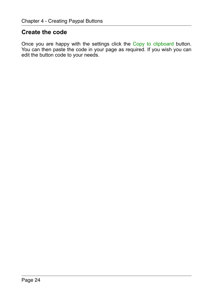# <span id="page-23-0"></span>**Create the code**

Once you are happy with the settings click the Copy to clipboard button. You can then paste the code in your page as required. If you wish you can edit the button code to your needs.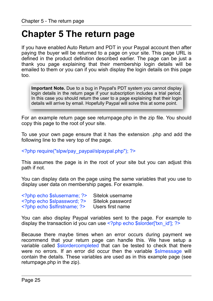# <span id="page-24-0"></span>**Chapter 5 The return page**

If you have enabled Auto Return and PDT in your Paypal account then after paying the buyer will be returned to a page on your site. This page URL is defined in the product definition described earlier. The page can be just a thank you page explaining that their membership login details will be emailed to them or you can if you wish display the login details on this page too.

**Important Note.** Due to a bug in Paypal's PDT system you cannot display login details in the return page if your subscription includes a trial period. In this case you should return the user to a page explaining that their login details will arrive by email. Hopefully Paypal will solve this at some point.

For an example return page see returnpage.php in the zip file. You should copy this page to the root of your site.

To use your own page ensure that it has the extension .php and add the following line to the very top of the page.

<?php require("slpw/pay\_paypal/slpaypal.php"); ?>

This assumes the page is in the root of your site but you can adjust this path if not.

You can display data on the page using the same variables that you use to display user data on membership pages. For example.

| php echo \$slusername; ?  | Sitelok username |
|---------------------------|------------------|
| php echo \$slpassword; ?  | Sitelok password |
| php echo \$sifirstname; ? | Users first name |

You can also display Paypal variables sent to the page. For example to display the transaction id you can use <?php echo \$slorder['txn\_id']; ?>

Because there maybe times when an error occurs during payment we recommend that your return page can handle this. We have setup a variable called \$slordercompleted that can be tested to check that there were no errors. If an error did occur then the variable **\$simessage** will contain the details. These variables are used as in this example page (see returnpage.php in the zip).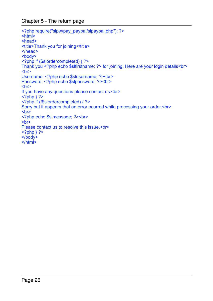Chapter 5 - The return page

```
<?php require("slpw/pay_paypal/slpaypal.php"); ?>
<html><head> 
<title>Thank you for joining</title>
</head> 
<body> 
<?php if ($slordercompleted) { ?> 
Thank you <?php echo $slfirstname; ?> for joining. Here are your login details<br/> \,
<br/>br>Username: <?php echo $slusername; ?><br> 
Password: <?php echo $slpassword: ?><pr>
<br/>br>If you have any questions please contact us.<br> 
<?php  ?<?php if (!$slordercompleted) { ?> 
Sorry but it appears that an error ocurred while processing your order.<br> 
<br/>chr<?php echo $slmessage; ?><br> 
\overline{\text{br}}Please contact us to resolve this issue.<br> 
<?php ?>
</body> 
$\langlehtml>
```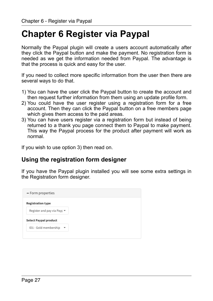# <span id="page-26-0"></span>**Chapter 6 Register via Paypal**

Normally the Paypal plugin will create a users account automatically after they click the Paypal button and make the payment. No registration form is needed as we get the information needed from Paypal. The advantage is that the process is quick and easy for the user.

If you need to collect more specific information from the user then there are several ways to do that.

- 1) You can have the user click the Paypal button to create the account and then request further information from them using an update profile form.
- 2) You could have the user register using a registration form for a free account. Then they can click the Paypal button on a free members page which gives them access to the paid areas.
- 3) You can have users register via a registration form but instead of being returned to a thank you page connect them to Paypal to make payment. This way the Paypal process for the product after payment will work as normal.

If you wish to use option 3) then read on.

# <span id="page-26-1"></span>**Using the registration form designer**

If you have the Paypal plugin installed you will see some extra settings in the Registration form designer.

| - Form properties                              |                          |
|------------------------------------------------|--------------------------|
| <b>Registration type</b>                       |                          |
| Register and pay via Payr $\blacktriangledown$ |                          |
| <b>Select Paypal product</b>                   |                          |
| ID1 - Gold membership                          | $\overline{\phantom{a}}$ |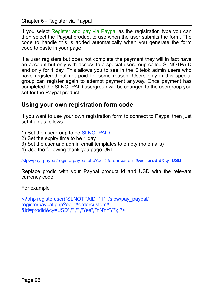Chapter 6 - Register via Paypal

If you select Register and pay via Paypal as the registration type you can then select the Paypal product to use when the user submits the form. The code to handle this is added automatically when you generate the form code to paste in your page.

If a user registers but does not complete the payment they will in fact have an account but only with access to a special usergroup called SLNOTPAID and only for 1 day. This allows you to see in the Sitelok admin users who have registered but not paid for some reason. Users only in this special group can register again to attempt payment anyway. Once payment has completed the SLNOTPAID usergroup will be changed to the usergroup you set for the Paypal product.

# <span id="page-27-0"></span>**Using your own registration form code**

If you want to use your own registration form to connect to Paypal then just set it up as follows.

- 1) Set the usergroup to be SLNOTPAID
- 2) Set the expiry time to be 1 day
- 3) Set the user and admin email templates to empty (no emails)
- 4) Use the following thank you page URL

/slpw/pay\_paypal/registerpaypal.php?oc=!!!ordercustom!!!&id=**prodid**&cy=**USD**

Replace prodid with your Paypal product id and USD with the relevant currency code.

For example

```
<?php registeruser("SLNOTPAID","1","/slpw/pay_paypal/
registerpaypal.php?oc=!!!ordercustom!!!
&id=prodid&cy=USD","","","Yes","YNYYY"); ?>
```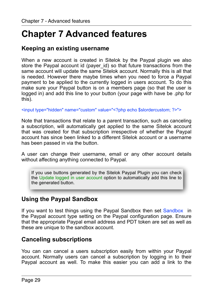# <span id="page-28-0"></span>**Chapter 7 Advanced features**

# <span id="page-28-1"></span>**Keeping an existing username**

When a new account is created in Sitelok by the Paypal plugin we also store the Paypal account id (payer id) so that future transactions from the same account will update the same Sitelok account. Normally this is all that is needed. However there maybe times when you need to force a Paypal payment to be applied to the currently logged in users account. To do this  $\frac{1}{2}$  make sure your Paypal button is on a members page (so that the user is logged in) and add this line to your button (your page with have be .php for this).

<input type="hidden" name="custom" value="<?php echo \$slordercustom; ?>">

Note that transactions that relate to a parent transaction, such as canceling a subscription, will automatically get applied to the same Sitelok account that was created for that subscription irrespective of whether the Paypal account has since been linked to a different Sitelok account or a username has been passed in via the button.

A user can change their username, email or any other account details without affecting anything connected to Paypal.

If you use buttons generated by the Sitelok Paypal Plugin you can check the Update logged in user account option to automatically add this line to the generated button.

# <span id="page-28-2"></span>**Using the Paypal Sandbox**

If you want to test things using the Paypal Sandbox then set Sandbox in the Paypal account type setting on the Paypal configuration page. Ensure that the appropriate Paypal email address and PDT token are set as well as these are unique to the sandbox account.

## <span id="page-28-3"></span>**Canceling subscriptions**

You can can cancel a users subscription easily from within your Paypal account. Normally users can cancel a subscription by logging in to their Paypal account as well. To make this easier you can add a link to the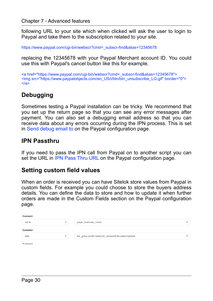following URL to your site which when clicked will ask the user to login to Paypal and take them to the subscription related to your site.

https://www.paypal.com/cgi-bin/webscr?cmd=\_subscr-find&alias=12345678

replacing the 12345678 with your Paypal Merchant account ID. You could use this with Paypal's cancel button like this for example.

<a href="https://www.paypal.com/cgi-bin/webscr?cmd=\_subscr-find&alias=12345678"> <img src="https://www.paypalobjects.com/en\_US/i/btn/btn\_unsubscribe\_LG.gif" border="0">  $\langle$ a>

# <span id="page-29-0"></span>**Debugging**

Sometimes testing a Paypal installation can be tricky. We recommend that you set up the return page so that you can see any error messages after payment. You can also set a debugging email address so that you can receive data about any errors occurring during the IPN process. This is set in Send debug email to on the Paypal configuration page.

### <span id="page-29-1"></span>**IPN Passthru**

If you need to pass the IPN call from Paypal on to another script you can set the URL in IPN Pass Thru URL on the Paypal configuration page.

### <span id="page-29-2"></span>**Setting custom field values**

When an order is received you can have Sitelok store values from Paypal in custom fields. For example you could choose to store the buyers address details. You can define the data to store and how to update it when further orders are made in the Custom Fields section on the Paypal configuration page.

| Custom1             |                          |                                                     |  |
|---------------------|--------------------------|-----------------------------------------------------|--|
| set to              | ٠                        | payer_business_name                                 |  |
| Custom2             |                          |                                                     |  |
| add                 | $\overline{\phantom{a}}$ | mc_gross (order total) mc_amount3 for subscriptions |  |
| Custom <sub>3</sub> |                          |                                                     |  |